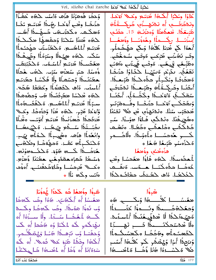Yol. Alloho Chal Zarche 15; 15 / 161/2

خَاوُلُ وَيُكْبَلُ أَبْحُدُهُمْ الْهَدْسُعِ وَيُحِيلًا أَوْتَحَلَّهِ. وُحدُ: فَوهِبُمُا هِزَه هَاسُد حَدَّه كَهُءُآ حِنْمِصًا وِقْبٍ أَوْحُما رِهَمْ أَ هُزْسُمْ كُلًّا وِلْلاَحَزْشُـــهِ، أَه لَـٰلاَكِــــزُّهِ، حَـٰٓجِــُـــتُٰهُأَرْهَ ەھكىم. ەڭجَرْمەت خىنگىما أەئب. هَبْمَمَا. مْعَمَّاهِلَا وُءِدَٰنُـهَ 15. حَقُنُـهِ لحوّة هُسُل مُكْمًا وُحقَّعِهُا مِكْتَكَمُا إمبُنْك، رِجْسُماْلِ وِهُوَنُكُمْ وَذُهِكُمْكَ أَههُا لَكَ هَٰذِمُا لَمُدُهُا وَٰكَى حَهَّدُواْبِ. هُزِسُم ٱلْمُلْمُسِمِ. هَكْغُنُو حَيُحِيَّد أَا سَكْبٍ حَمَّهِ مِنْهُمَّا وَمَتَوَّهُ أَوْ مِنْ مَثْلِهِ مِنْ الْمَسْرَ وضَرِ لَاهُنَّنِي هُرْكَنِي هُوقْبِ مُنْتَاهَكُي. مِنْقَالَهِ صِنْرِيْ صِهْبِهِ. هُمْ يَعْمَلْهُمْ مِنْهُمْ يَعْمَلْنَهُمْ همَّحُسِـدًا هُـْتُـم ٱلْمُـدُبِ. هَـدْكُتِتِهُـب وَّەممَا. كَمَ مَكْعَزَة مَمَّدٍ. كَاهُمَ هُدَلَّا تَعْمُكُم. ىكَبْكَر ەَسَيْهَا حَكَاوُا حِنَّىصًا حكَنْتُماا وُحمِّعِبْلا ولَا فَكْسُا حِكَنْتُمْ هُهدَٰدَكُ ويُكْبِلُهِ حِدُّهِكُمُّا هَٰٓبُعِكُمُّا. أُمامِيَّد. هُ/ڤ لِكَحْشَاْلِ وِكَعْعْدِلِ هَكَلا. أَمكُنُا وحُرِجٌـةُ أَنْ وهَّزَمْـهـدًا نْمْحَـٰٓتُب لِحْمَى مُحْسُلِ مِعْدِئِيْدًا هُبِ وَحِعْوِهِمَا مَفْكُــكُو ةَاوْكْــدًا وِكْـتّْــدُلُّ. أَمْدُنْــا سِمَاً أَهْبَسُم ٱلْمُلْهُمِ مَا كَفَصَّرَ أَمْلِهُ مِنَّاهِ أَ وَبِمَقْكُبِ أَوْنَحِيا حَبَّثْهِ وَقَدِمَهُمْ لَهُ وَّافِكْا هَٰذِبِ. كَهُم هُٰذًا وَحِتَّوهُا. وكُكُ هُدحَ ٖٗٮ مُثْلُ. ونُدْتُهِۥ ۚو هُم مُلا نْقِتُنْا هُرْكُحِمًّا شُعِبُرُهُمَّا هُرْسُعِ أَرْضِيبِ وَشَّلَّا ەھمى ھُلْا. ەنْمْكُم، ھُلَّةُ اھۇسْتْرا. مَنْع لِّــْمَعْــِيَّـٰهُ مِنْـــهُـرَةِ بِهَمْـــهْمْ الْمُتْــبْكَ، كَمْكُمُبِ وَغْلِعِمَْبِ وَكَعُـال وَتَشْـع والُعْمَاً الْحَمَدِ. وهُي بِأَا لِحَمَلَهُ بِيَ بِ. لْحُــــو هُوَجِمُــــا وَأُووُبِّدًا. وَلَاجُـــومِ ەَحْنُكْمِلُه مَكْمْ. ەَحِيَّةشْما وِئَحْشْب ەَكەْممُو ھَبْعَدَ ھُدَا م فؤهقُمه وؤهمًا هُرْدُكُمَا كُلُّ ۞ ۞وُوْ. ۞ كَلَمْـــه۞وُلُه. أُهدُه مماًا. لِذْهُه قَاؤُا هِفْدَمُا وَهْبِ وَمُنْبَعُلِ جُعِبُوهِ مَعْدُوهُبِ حَقَيْبُلِ وَمَنْزَمٍ. هكَــــلا هُدِمسُـــا وحُـاوْحُـدْهُسُـــى. أُهوْم جُوجُها حدُّوجُيُها هُسوِّين. وُبِقَسِّين وأئيد ولكه عالى لِلْحُلْهُـا. هُ/ِ لِلْهُـتِمُـ حِمْاتُـمِكْمَا َهْرَوُّا وِؤُهِمًا هُو كَحَرًا لِمُووُّلًا ﴾ هُمِ وَ همُسُط ٱلْأَكْسَاهُ أُوَيْكَسَبِ. هُوَهِ همُسُل أَه أَكْتَهَنَّ. 56أَ وضًا كَتْعَامُ وًٰٮ نُهوَٰا همُداًا. وحُب كَلاهكُما وكُند وۡحمۡكِ۞حُـــــمِدُا وتُـــــووُ٘ا كَذُبِـــــراُا مَ الْمَنْهُ فَيَ الْمَنْ الْمَكْمَةِ مِنْ الْمَكْمَةِ مِنْ مَنْ الْمَكْمَةِ مِنْ كُنْ فَالْمُحُسَلَ مَنْسَرْهَا. وَلَا مِسْرُهَا أَو ىۋېگەپر گە لمگئا ۋە ھَحُط أە گ ەلل مىمىئىكتىسىما ئىسىز ئىسىزدا وَحَقَّصًا وَ ۖ تَرْهِــدًا هَـُـا وْلِحْتَكْــٰمَبِ. للَّكْعِمِيَّـهِ أَمْ وَهَٰدُكُمْ مِكْعِنِّمِيكُـمْ أَلْ أَحْدَهُ! وَشَمَٰلَ هُبَوْ خَلا ثَمِلاً. أَه حُدُّ وَتَرْحِدًا أَمْ؛ وَيُخْتِدُرِ لَكُنِ لَكُنُّهَا أَمْتَبِ حْرَهَانُا أَو ذُكُل أَو لمعْدوهُ! كَـا حِكْسْنَا هَلاً هَكْسُــاهُ اهْنُا ذُكُــا هَامُحْــــهُ

مَحْدُمُا حَرَّء ٱاْثَا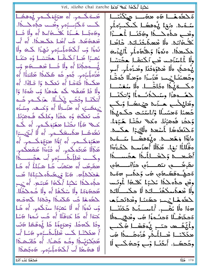Yol. Alloho chal zarche 15; 15 / 161/ 161 كَعْسَةْݣُــدْسْ. أَه هْكَهُوْݣُــدْسْ لْمُدْهَلْـــا كَلْمُدْهَــا هُه هِهُ ـــز دِيْنَكْنُــا لَّكَــب هَكْمُــــرُه وهُــب حَدُّه لَكُماً. مَّـمُّمه. ەُرْفا لْمُعْصَا كُـىكْـبُّەلْر ودَه دَسَا هُـزَا بَلَاـُـدُ اما أَه ولَا حُـا وهْبِ حدْهِكْمَا وهُكْسًا لْمِسْرَا مْدەەُمَد. ئَب أَمُدا بْكَيْعِيدًا. أَو أَب كْثُـرەُ/ئە. ەلْل مْعمىمْىئىلىگە. خْلِعْبال نُوزًا وًى أَكْثَاهِ أَعْبَوهِ نُهْرًا كَنْ وِلًا حكْمعِدًا. وشَوْا وَجْدُوهُولُر لْمُلْهَدَة عْصَرُا هَـا ٱكْتَقْـا هَتّْتَسْـا وُه مِتْـا ولَا اَمْلَمَزُدے هُے اُگتھُے حَقَّتِهُا وَ يُّــــوحدُّلُّ أَو ولَّا حُــــــا قَدِهـــــوَّة وَّب لمُّەھكُلْ مَلَّا مُْحَاوِّوْقُنُا وِهُــزُّەلَٰىۭ. أَسو هُنُّولًمِيُّوبِ. فُورِ هُو هَكَلمًا هَٰلَتَنَأَلَ أُو وكَعمْنُاجِهِم مَّنَّمَا وَمِحْلًا ثَدَتْنَا مِكْتُمُا قُوْصًا أَو تُحَكِّمْ وَا قَاوَّا. أَو هكْــــةهُـدًا هَدَاتْــــــا. هلَّا مُمْعَـثَــــا ولًا مًا هَٰنفَلًا لَكُمْ لِهُوْمَا وَٰٓتَ هُوَٰٓةً وَّا لحفُءوءُا وسُبحِدُكُ فَ الْمُتَامَرُ الْمُحَمَّلِ أَتكْتَـا ودُكَّــ يْݣُـلُا. حْزْكُــمِ دُــم وهّالهضّب هـزَمه حيْماسُمْ وَمَكّلٍ يْ بِمَعْكَبِ أَو هزَٰكَ أَو وَكُمْتَ. وَمَكْرُه كَعمَا هَعسُلًا وْالْمَمَّت حَكَّمِكُمْ حًى تَكَلَّفُ وَّه حَدًٰا وِكَلَّكُمْ فُـوْعَزْتُلْ. وَحدُ: فُوهزُلُل وكَذَا لَدَّتْنَا هَجَوْلَ. كَحِلًا هَٰذَا بِحُثَا مِمَّ ذِكْءِ. أَه كُـه مُحْتَعْدُهُا أَسْعَدْ هَلَّاتِيٌّ الْهُمْمَدْ. ىُعْدِهُـــا مكْمِعْكُــدِ. أَو لَا أَخْلَىـــْزا 4. أَمَّ مَنْ الْمُسْتَدَّةِ مِنْ الْمُسْتَدَّةِ مِنْ الْمُسْتَدَّةِ مِنْ الْمُسَامَّةِ همَّ ُوَجُـــدِ بِ أَدْ إِوَّٰٓا هرِّئَ وَجُــدِ لَهُ وَ وَقَالِمًا رُوْلٍ. هَٰذَالًا أُهْذَمِيهِ حَدُّبَّوْاً مَّدَةِلًا مَّرْضَكُم، أَه ضُّوَّاً مَّفْعِكُم، أَهُبْعِيْنِ وَجَحْفَ الْمَدَّا حَجَّنِبَ ذَا وِكْــــــــــ تَعَلِّلُهُــــــــرُّەرِ أَب ــعجَّـــــــــدًا رەڤىـــــە ئۇنى مەنباتىكى مۇن همَّرمُد أَه همَّعَنْد كَل هِ ذَلِماً أَه كَل كَاحِمٌ وَهُمُدِهُمْ وَهُ وَحَدَّمَتِ مِنْ مَا هَضْلِهِمْ، وَمَا تَوْجِعُكُمْ مَعْلَمَةٌ مِنْ مَا تَوْجَعَةٌ مِنْ حِبُّوحِكُمُ عَجَمًا أَحْكُومُ هُوَعِم. أَو يَج وفْعِ حِدُّهِ حَذَّرًا مُحْبَرًا كَحْدَهُ! أُوئِسَت ولًا مْعِظْمِكْفُنْــابُمْ لًا حكْمــــلَّابُمْ مَٰدِهَٰذِهَا. وِلَّا سَكْفًا أَه وِلَّا خُـٰدِكْمَالًا. لمغْمِقْلِ مُبْ هَكْتُمَا وَهْهَا لَحْمَدُهُ لحقَّمهْا يْهِبْ حِيْمَتْنَا وِثْحَانُصَرُّهَا وًى نُووًّا أَو لًا عُكْرُهَ! سَآلَكُوبِ. أَو كَـا هِ مَا اللَّهُ عَلَى الْمُعَامَدِ كَتْنُنْـَـا كَتْقَالُ مَا كَتَرْقْلَا أُو حُبٍّ ثُورًا وَكُلًّا هُحكْتِفْـلًا هُحـنـُـهؤُا هُـد وِهْكِيْــهالُّا ودُا لِحُدهُا. وْمَرُوفُا هَا لُوقَهَا هَنَّ وأَلَيُّفُــمَه حَـّـ فَعَقْفَـا هُكْنــع اً مكَنْشَا كُت مْلِلْمَشَّبِّهِ وَصَالَ هكَتْنْـا مْـالْمَمْر فُزُّەهُــمْاْ هُ-هَٰجَكُمْ بَمْمَ اللَّهِ وَهُـٰهِ حَمْدُا. أَه خَائَـٰهــدَا وحَٰحهَٰــ;. أَمكُنُــا وَْــبِ وَحِـهُكُــبِ لَٰا لًا هِمَّـعُا أَب أَكْثَهُوبُمْبُوبِ. 20وَعْمَا

مَحْدُمُا حَرَّء آاتًا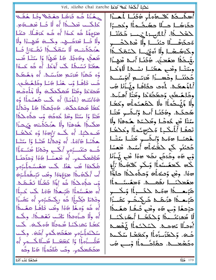Yol. Alloho Chal Zarche 15; 15 / 161/22 حَمَّمَ أَحْدَ دَرْهُا حَمْثَلاً وِضًا هُفَلاً أَهِكَمْــذَى كَلْــرَةُولُم رُهُدَّـُـل لَمْــزْلَ كَلِگُـــ، مْكَـــداُ أَه لَا حُــا مْعَـــوَم، حدَّنهُــا حــلًا حهَّىثُــه]ُا وِكُحـــرُا هجَوفُا هُو كَيْوًا أَو هُـو كَرْقْبُا. مِثْنَا لحَقْفَ وَاسِيرٌ لِمَسْتَرِينٍ مِنْ الْمُسْتَقَامَ ولًا حُـــل هَدرَكَــــبي. وكُـــــرف هَديــــتْزا ولُل هُحكْتِفْـــلَا عنُــَـــا وِلَا مُّـمْـحْــْــــو هَ مَكَمَّتِ لَا مَحْكُــهُ الحُــّةِ الْحَـــةِ وَ وكتشمشا ولأ أهءه الكمقكم هُهِيْ وِرَهُودًا. هَا هُودًا وَا عَتْدًا هُـب .قَحِكْمًا محكَمتُن. 3كَنُـا أَبِـد مْنِيَّا لْعَظَيْلُ تَسْتَخَلَّطْ لَكُتْ أَوْجُلْ أَوْ هُوَ كَسْوَا ومَثْنًا وقْبٍ هفَّنُا نِسْطاً لَاٰوَنُنَا وٌه حُهرُا هُزِيَـُم هِزَيِيَيْكِ. أَه وَهُبِعَدِكِ كُحِبُنُكُمْ وَجْهَدَٰٓ أُبِّ مَحْرَكُكُمْ أَرْوَٰٓ مِنْكُمْ ۖ وَ حُب دْلِقْل وُب هْنُلْ هْدُلْ وَجُلِمُبْعُدِي. أَلمزُهفَكِ. لمُوت حدَّاهُا ورخُّ زُمَّا هُب مُحتەْكا ومُثْا مُعكّْدَكْ ولًا وْأُوصُرَه وحُلِمُبعثُم، وُحعَجْدَتْهُم وهُتُل أُهـزُبِي. (هَوَأَسْدَهُ (لَمُؤْسُلُ) أَو لَكَبٍ هَمْشُولُا وُو ولًا ذُكِّحتُه أَا ملَّا حَكَمتُه أَنَّ وَكَنَّدَا كَعْدَا هُجْمَهْ حَكْمَة. ﴿ وَجُحِدًا هَا وَخْمَالُهَا هَحكَـه. وهُكَنُـا أَبـه وَاللَّفـبِ هَتُـا مَّتْلَ وَا عَتْلَ وَمَا يُدَكِّهَ وَبِ حَذْهَكُمَّا مَثْلُ هُم خُوضًا وِهُكْمُه هُـُوشُلْ وِلًا محكمأا هُومِتْرَا ولَّا هِنْدَكْتُمْتُو وَحَجَدُّا لْعَفُا ٱلْمُكْبِطْ هَكْرُهِ شَه أَا وِكُكْفُا كَسمكِيما. أَو كُسم رَاحِوهُ! وَو حُكْظُما هْعِمُــا «هَمْــا وُٱمذَّـــو هَتُــا مَتْـَـا هدُّـُــا هَاهْـا. أَه وْحِدْلُهُ هَٰـْـَـا وَا مِّتْـا كَحِنْسُ لَكَ حَقَّتُه\$ أَمَّىه. قَعْمُا ضُـه صُنُـــزُورِ أَلَمْـــ وِضْلاَلا هُنَـــٰة اُل وْمِ هُو وَحَاجٌ بَّحُدٌ هَوْا هُم نَّيْ زُلَّا هَاهْعِكُــەب. أَه مْعِسُــا هَهُا وْحِزَحِبُـا ݣْدْ ݣْحْمْسْدَاْ وُحْدِ ݣْلْاهُـدْا رْأَةِ هُكْدَةَ قُتِ هَنُا. كُتْ هِمُسْتُمَلِّيُومِ هوءًا. وهُي وِّحِمَّهُ أَنَّهُ وِّحِدَّهِ حَكَّا حَلَّةُا ۖ أَبِ أَكْلَّهُ جَالًا هَوَّةَ وَوَّا وَهُبَ تَرْجَفُوا مِّنَ هِمُعِيْنِيْسِ لِمُعِيْسِيْنِ وَهِمُبِيَّسِيْ أَ وً حَدُّوحِكُمْ هُوَ إِوُّا حَعَبُلًا تَعْبِطُ. هَبْمِكْمُ هَا هَمْهِ حَكَمَ اُ وَ كُسِ أَه همَسْئَداً هَبُعِدًا هَدَا حَد حُبِدًا وثَمْنَا دَكْرَةًا هُو رَجَّىدُوُور أَو عَقَدَٰا هَزَ مِكْمًا فَزَيْهَا خَرِجْتِجُبِ مُعَْبَزًا أَه خُمْ وَهِمُا هَٰهُا وَهُبَ ثَافًا هِمُبِهُا دَ ۡحَمَٰا ۚ وَۡبِ ۞ه وَهُـبِ كَنفُـا عَمَّـندَاْ أَه وِلَا دِزْهِدِهُ! رَائِبٍ يَمْعِيهُ!. وكُـه لًا هَد:عُنٌــممُّا وَحَكَمُــا أَمهُ;حُنُــا كَعُما مُعزِكْمًا هُـومًا هُوكَــف. كُــ أُوصِلًا مُحصِد. حَمَّحَمَدُ أَلَّهُ مَعْصِدً سُلْنُهَأَبْوَمِ هَمُكُوهِكُمْ أَكُوهُ. وِكُب دُة. وَحْقَدُّ فَالْمُ وَكَقَفْ مَكْمَة هَٰأَـــزَّهِ إِلَّا وَالصَّحْطَــا هَٰـــْللكَــــوبِ أَه ەكھەدىك دېگاڭسەلما ۋىس ھُ مكَمُعكُمبر. وحُب هُاكُوبُا هَا وحُو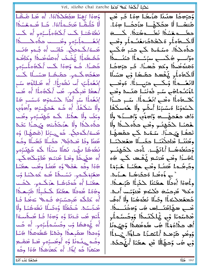|  |  |  | Yol. Alloho Chal Zarche احمد أوتما |  |  |  |  |
|--|--|--|------------------------------------|--|--|--|--|
|--|--|--|------------------------------------|--|--|--|--|

وَهِهَا رَجِبًا مِجْعَدِهُاهَا. أَو هَـا هَنْقَا لًا حَلَّىقْطِ هَرْحُــولُهُ]. حَــل هُــوـقسُمُا ىُعْدَمُصْدَا گُــد أَكْدُّهُ بِأَسْرُهِ لَهُ گَــد إِنْمُـــــــــه أَخْوَمٍ وهُــــــب دَهْوَهْـــــــدُّا هُسة/گــهجِكُ. كَانَــْب أَه جُــهو هَنَــْب حَشَمْهُمْ لَمُحَمَّد أُوهِنُومُدِهُ! وكَاهُدِهِ كَھـُرَّا. كُــه وَهوَا كُــد أَكْرُهُولَمْـرُومِ ھكەگەن. دېئىل ھئىلا گ إِنُعُمْلِكَمْ أَبَ نُقُورِياً!. أَو هَٰـٰلِمْؤُهُ مَنْـرِ أَحْمَٰا شَرِنَكُمْنِ. شَبَّ أَبْكُرْهُ مَلَّا أَه شَبَّ إِنْعُمَاً مِنْ أَجْزًا لِحَسَّوْوَهِ وَسَيْبِ هَا وِلًا سْكُفُلُ أَه شَه هُجَهُنْ وَأَوْوَى وْكُمَا وِلَا حَذَٰمًا. كُنْ كَوْسَـٰٓوُەرْ وَهُـٰتَ حِمْدِكُمَا وِلَا حَبَّحَكَمْتِهِ وَيَحِبَّلُ حَدَّمَ هَسة/لُدْمِكُمْ. شُمْ حِبُرُنَا (هُمْهُمَا) وُهِ هَٰننَا وَدًا مْحَدَيْلًا. حَضَىٰلًا ضَعَّىٰلًا وَهُـهِ ىُعْدِهُا بِهُنز. بُمِلًا سَزْءُلَ كُمْ جُهْنُرُه بِ أَه محكِّمِكُمْ وَهْدَ هُوَسِّمْ هَٰذَهُ كَلَّهُ كَلَّ . 65] وحُم هَفَلا وُه هَسُل وهُب هَعَنْا ھمَّزْوَجُّے، تَسَّىمًا هُـٰه خُمكْتا وُب هعَنْا أَو دُودَهَا هَزْكُوبِ لِحَمْتِ وَوَّةَ الْمَحْمَلَ الْمَعَيْنَا كَلَّكُمْ أَلَّا هَزَيْهِ أَ أَه كَلِگُم هُرمسُمُونَ شَملًا مُوطَّلِ مُل هُداً سَنْمَا. حُـحَٰهَٰذُلَا وُ2حَـٰلًا تُعْدِهُمُا ولُل لَمْتُم هُب قَبْلًا وُه وَهِهُا قُبْلِ هُبْلَمْيَدْا أَه يُوهِقُا وًب وضُشُوبًا وُوبٍ. أَه ضُب وُوحِدًا مِحَمِيماً وِصْطَا هُمُوصِدًا وَّحَا وحُــم بِمُـُـمكُمْ أَوهُدْ وَمُ مَــرٌ مِنْ الْمَــْمَــم هكعرًا هُم إوًّا. أَم كَعِزُهِكَا هَوَا وِهُم وُحرَهومًا هِنَّىنًا هزَّىعًا هِهَا ضَرِ هُبِ هُتهْـــا لُا محَكّهْـــا مزُدحُـــا 1،0%. حعثُـــوهَسُمُّا يُعْـَــوهُتِمُّا. كُــــة لَّاكُ هُ٥لُم هُكْعُكُ;ىعُنُـه لُم وقْب حِلُّهِ حَكَمًا. مَمَّـقَـهِ كَبِ حَبٍّ هُكْب ةهشَهُما وكُم دُهدًا. كَم حَرَّه دُل لَّاحُدُّه أَمِ لَهُمِهِ حَمَّمُه أَمِ هِمَمَّا للنُعْــولُمْل وُبكّــــى حرَّبِـــزلُمْلِ. هُوهْــــى لمُؤْسُدُداهُم مُنْع دُوسُلِ هِنْمِهِ وَهْمِ كَلّْــْ هُوَمُأَا وَهُبِ ٱنْعُـُـوَمُّا. مِنْبِ حِــزًا َكْتُوَمُّا ةَتْتَبَاءُا أَيْكُسِ وِلَا جَدَيْكَا  $\mathring{\mu}_{\mathcal{P}}$   $\propto$   $\frac{2}{3}$   $\sim$   $\mathring{\mu}_{\mathcal{P}}$   $\sim$   $\mathring{\mu}_{\mathcal{P}}$   $\sim$   $\mathring{\mu}_{\mathcal{P}}$   $\sim$   $\mathring{\mu}_{\mathcal{P}}$ هْعِمُـا حَكَمِنُــو وْهْبِ حِدُّهِـحْـدًا وِلًا تَعفُا وَيُحِزُّا. مَنْمُكُ كَبِي حِفْعِهِكُمْ الْفَعَلَ وهَسُل هَامكُسُل حصَّلًا معَمَعِنَا وۡحنُعۡدُهُمَــا ٱۡلمَّنَــۃ. لأُهڡ ٮٮۡكَهۡنُـــڔ لمؤسُرًا وَهُبِ هُزْسُمٍ لَيُفْسِهِ كُبِ. 6ه وضَوْهُــدا هُننُـا وهْبِ هفْنُـا هُــُرْدا ے وَّہِ مَا ہُحکَۃِ مُا ہےَ۔ وِأَ30 أُودُلَا هِكْنُنَا حَذَبَاًا هَبْمِهَا. ەڭلا ھُرمىلەۋ ئېگىۋە قىلۇشسا لىك كَعكَمَعَكُمَاْلِ وَكُمِلًا يُعَدُّهَمْمَا وِلًا أَوَقَّ هْبٍ هِيَٰٓاهُدَيَّـــاهه هُڡ وَهِحُنُـــمِدًا. ھْAمَّەمُا وْبِ <sub>ف</sub>ْلِكْنَـٰد*اْ* وُوصَّىنَـٰہ *ا*ْب أَه حِكْمُوْمُ أَلَّا هُـ هُـُمهُمْ أَمْرَضِهُ أَمْرَ مِنْهُمْ أَن وَوِهُدِ هَبْمِهِمْ ٱلْمُحَدِّلُ حِبْرَةُ الْمَحْدِمَةُ الْمُحْمَدَ وْبِ هُب وَحِهَالًا هُبِ حَعَمًا أُرِيَٰحِكُمْ.

مُحْمُلُ جَرَّم ٱلْمَا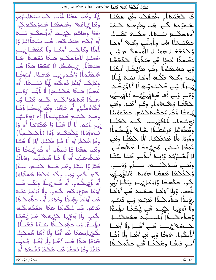Yol. Alloho chal zarche 15; 15 / 161/ 161 يَّلًا وقُب حقَنَا أَؤُب. كُب تَسَمَأَتَوْمِ كْبِ لِكَعَمْكِلْمٍ وقْعِقْلِبٍ وقْعٍ حَقَمْهَا وقداح لمقلا وقيمعكنا فيوكركلاه كي. هُــوَدِه كُــب. هُـ وِهَبْهِــهِ لِــوُهُ هَهُ! وقَعَلِهُم حَيْثَ أُهُ مَعْكُم تَسْمَ أەوْھكْسى بىشىما. ەڭبۇ ئۇيزا. أَه أكْتُم مِتَعَزِيْكُمْ. حَبَّ سَنَجْأَايُنَا وَا حكَمُـكلًا هُـد وِلَمُوْلَمِـ وِكَــلا أَوْكُـل لَمُذْا وكلكُب أُوْكُل ولًا كَقْعْلَى ۖ وَحْكَفَعْمًا هُوسًا. لِلأُوفِعِكْمِ وْبِ رُهُ مِنْـا. لِأُوذُهكــم هــدًا تَعْهــدًا هَــا كَصَمكُا كُحبُلِ هُي مِمْكُوْلًا كَكَفَعْكَا همّكاوُّلُّا مَجْمَعُكُلِّ لَّا كَعَفْعْلِ هِكْلا كُب وْبِ حَوْمَعْنُمْأَا وِحُرِ هِزَبِيْجُا. أَمَكْنَا هَ حَثَمَاً أَوْاضُمنِ ﴾ وَ حَدَثَهُ أَوْ دَارِ حْمِيز وكُمِيلًا فَكُنْ أَوْكُمَا بِشَيْئًا بِّلْمَا. وكَلِكُت أَوْخُل ثُوكُنْ ﴾ لِلَّا تَسُتَبِكُلْ أَو جُمالُمْ وَسِي حَكْسُووْمِهَ لَمْا أَمْلَؤُمْكُمْ. كَعِنْزًا هِـذَا تَكْشُـەوْا لًا لَمُؤْب. وَهُــرِ أَوَّةَ سِمْ وَسَمْ أَهْلِمُ مُعَافِّي مُنْ مِنْ أَلْمَنِي مِنْ إِلَى مِنْ مِنْ هدًا مْدْهُوْاكْسْ كْسْ هْتْسَا وُبْ لحَقَتُـا وَلِكُــةَهامُ وصَّع أَهَد: وهُــع أَكْدُّهَ مأَجَّى أَو دُاهَٰ: وِهُو يُوصُلُ وَكُل لَّهُممُّا وَّدًا وَحِضْهَكْسُع، حَمَّمَهُمَنَّا وتَعط للشعر تَـْفَتَرْمِنْنَـٰمَاْلِ أَه رَّوَةَمَّتَ ـِ أَرْهِشُمِلْكَ الْمُكَيْبِ، كُلْمَ حَمَّتُنَا جَحِ لَمَحَمِ. لَا لَا هَنْـَا وَا هَجَّةَعَـا أَه وَا وهَدَّة ْدَا هُوكتنُـدًا ـهْـالا وهُـحَـدأَا سَدةَةُ الْمَحْكَسَدَ ذَهَ الْمُحْكَمَا) وذُوبُا هِلًا مُحْمَكْسًا. أَلَّا حَكَتُنَا وَمْبِ ودُا هُڪدُا أَو لُا دُـا ح<sup>ُ</sup>ڪنا. <sup>7</sup>الا لَا هَتْـا وَّەھُل سُمَّابٌ. ەَجَهُمەكُما ھُلاَاھەَيُبْ. وهُما حَقَّدًا ذَا سُلَّمَا أَه ثُمَّ يُحدُّا ذَا لًا أَهْبُٱدُمْ وَّابِـهِ أَمِلَٰتٍ هَٰتُـا مَتْنَـا مُّددِّه هـزُد أَو لُا حُـل هُدحُـزُد. وهَٰذَٰلُهُ وقْب ضْمَكْشْسْعْ. مْسَلَّْرِ وَّەْسْبْ. هَٰثًا وَا عَتْلَا وَهْلَا دَعِيمَ جَسْعَةٍ. مِثْل وَحْكُحْهَا هُعِهْا 5هَ 1، 16كَّنِيَّ كَلُّهِ كُمْ وَمُّم وِكُمْ هُكْمُا هُمَكَّلَةَ! أَه فَيْهِكُمُ ، أَهْ شُمْ يُهِمُلْا وِمَكُمْ شُمَّا لكو. حكْعدَ*ثْ*ا وَٰافِكْا يُهِمْ وِمُكْا رُؤُم لِلْوَتِ. وَوِلًا أَوْنُنا حِكَمِيهَ ثَبِي أَوْنُنا، أُوْكُلُ هَوَوَوْحُدُهُ لِكُنْمَنِ. وِلَا أَوْكُنَا عَظْظَ هُب أَذِكْر رَجَّكُ وَحْكَلَ أَبِ حِكْمِكُمْ ا . هَـٰذًا حدُّہکے اللّٰہ مُوسَّـٰع وَّے کَسُـٰب هُزِيُم. هُـ الْمَكْمُلُمْ هِمَّا مِعْجُمِكُم اتَمِهُا لِكَتَيْمٍ هُجِيَّةٍ لِمَرْهِ مِنْ الْمَنْ الْمَجْمَعَةِ الْمَجْمَعَةِ الْمَجْمَعَةِ مِنْ ا لْحُمبِ. ولَّا أَههُٰى لَمَ يُهَمْ هَا هُتَّكَا وَحِدُّه حَــدُا ٱلمــــرَّحِ مِعَجَـحَـــا. ىئى— تَزَاوُّ دِ هَذَه كَــدًا مَـــتَدَا دَهَّــلَا. كمستَ أَوْسًا وَلَا أَهْمِهِ لْحَيْ احمِدْا هُو أُحُا وِلًا أَهْا هُو حَدِيْدٍ. ٱلۡلَّـٰٓٓٓٓٓٓٓٓٓٓٓٓ׀، ۞ُوۡذَا وۡٓىٖ ۞ ٱضَا وَلَا ٱضَا هَٰذِنَا هِمْا هُبِ أَهُـا ولًا أَحُـا. فُـوَب أُسر دُافًا وهَٰكْنًا مْع حذَّهكمُّا دْاهُا ودُا نُعمُا مُد مَكْدُا نَعْيِمُهِ أَه

مَحْدُمُا حَرَّء آاتًا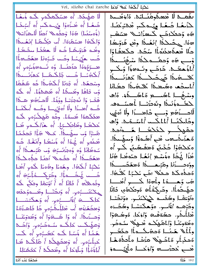Yol. Alloho chal zarche 15; 15 / 161/ 161 بَفْعَــدَ لَمْ شَعِمَكُوهُنُــائِدْ. هَاوْشُــدَ لَا مَهْنَدَ. أَه مسَكَمكُم كُـه وُنْعُا ضَعُـٰا أَه هُـزُّهوُا فَيُــمكُـبِ أَه أَـبًىـٰٰـا لأَعهُا دُعهُا وَيُحهَدِ هُدَبُرُدُلُهِ. (ؤُهِينُيا) (وَأَهْدَهُمْ الْحَيَّا لَلْعَظَمُ الْمَعْزَاتِيْ ﴾ هُ٥ وۡحثُدَاحُے خُمعۂُاسۡـٰلا منفشہِ وَالْحُرْهَ الْمَسْكَرْهَا. أَبْ كَكْتَمَا إِنْشَيْخًا الضَّحْمَدُ لِمَا الْمُعَمَّا ( وَهُوَ هَٰذٍ مَاهُمَا ) وَهُدَ فَرْمَشْكُمْ ذُدِ لَّا حَقَٰذُا مِثْبَعْدًا. حلًا مْحكّْمَدْنُمْلًا مْكَدْ. حكْمْقَاؤا كُتَ هَيُّهُمَا وَكُتَ كَثَرُهِ لَا مَهَكَّدُهِ أَلْ وْسِـــ هُ٥ وۡحـعُـــــــه لــهُا مْنَرِفُكَــــماُا هـــرِّهُوَٰهُ| حَزَّحتُــا. وُه تُـــهِ هُوَّــرُه إِهْ اْلِمُعْكَسِدْ. خَرَجَّبِ وِيَّدْهُوْا وُيكْسِر أَكْوُسُا شَــد مَّاكْتَصَــا كَعْزُسُــدَّا الْمَسْأَبْعَدْ الْمَسْكَنْصِرْتْمَ الْمَاهْكُسْمَا وسْحِمُهْ. أَو ثِرِبًا أَجْرَهُ جُلَّ ذُو هُفُعُل ألمحدَّم مهُمعهُ السَّلامُ الله عمَّالُه وًب دْاهُا وهُسكُلُمْ أَه هُـْهِـدْوَٰلُمْ. أَه لَكُـه ومْبْرِفُهِ لِمَعْمَدِهِ وَاهْلِهُ وَوْ. وْاهْ فْثَ: وَا نُودِّتُهَا وَوُّذًا. لَّاحَـٰٓرُوُم هِــٰٓءَا لحَفَّــوذُبُما وِيُودُبُنْـــا لْمَمِيَّـــوف. خُــه أهــزُا ولًا أُههُ ُــا وخُــه أَحكُــا لَاحِسْنُوهُمْ وْسِبِ شَاهِسْنُوا وِلَا أُوهُي مَنَكْعَةَا مَسَمًا. وضُه مَهِكُبُومِ كُـه وحَاكِنُا ٱلْمَلِكُبِ ٱلْمَسْدَمِدِ. وُافِ بُعْلِهُما ومُعَاصِّلِهِمْ. أو هزَالحُسورِ مَنْ ا حفْهِكُــــر ححكُحكـــا حَـــــــــهُ ده. هَٰتْٓا وُ؎ مِدَّمِدًا. كَحِلا هَٰإِلَا قَحَدُمَّا هُهَّنُمُدهِ مَن أَهُدَوْٓا وَمِيهُمَّاْ. هُمِنُم ۚ إِنَّ إِنَّ إِلَّا إِلَّا اللَّهُ ۖ وَأَنْقُلُ دُّء ەڭلاشۇا خېتىك ەھقىھىكى لگىر أە عُـٰٰهَٰدَانُا وَۚه وَّەدَٰٖنَـٰـَ ۚ وَٰٓ هَٰٓ هُـُمِــٰٰهُا ﴾ُه هُذَا هُكُل هؤُسْمِ إِنَّهُا حَمَّهُمَا هُنُا همَّحُسِدًا أَو حثَّمِيا آصُلِ حَذْوَهَــدُا ووُّەھسىزُّلُا وهُبُعسىداُا ەْھەھْكْسىسىدا حْكِمَا أَحْدَهُا. وهَوعًا وهُوعًا حُدْمٍ أَهْلَ ەْحِدْهِكْمْ حِجَلًا بَضَّى مُحْبَرَا كَلَّكُمَّا. حُــــما لَمِحْــــملَمال وحُتِكِــــمْلَمَرْهَ أَه هُب وُهِـــهُـا وِلْمَهْمَا كَـــــو أَهْـــا وِثُمِحْلُوهِ أَ دَّاتْلَ أُه أَ أَوَّتِمْلِ وِحَكٍّ لَكُم حهُّىحُّه أَا. ۖ وحُرِجٌّةُ أَهْ ۖ هُوحُكْهُمْ ۖ قَاتْلَ حكْنُسْدُونِ. أَو وَبَحْتْسَا وِهُسْوَدِّدْتِهِ هَٰؤُتِهْـا وهُمُـه حِيْحُنُنُـب. هَوَتَحُنْـا وَدَّدْهـــه اوْأســو. دَوْهكْتشــا وهَدَّـــزه وْمِحَمَّرْوْهِ أَبَّ مْلِلِّيكُيُّومِ هَا كَاهِــَرَّهُا } ەْدا. دۇر. ھەتقىمىن ۋاۋىدا. ئوھۇسقۇا وْحِــزُبِّـهُا. أَه وَا هُـــوْوَا أَه وَهُدَوْعْـَــا ەھّقونْسًا ۋالمككك ھُــھِلَّا مِنْـوكُـو. وْهِهُكْتَ كَالْمُدَّةَ شَـْمَضَرُّەبِر. وُٱضَّلَا وِلْمُلَا هَنْـا هُدهًىگــداًا حكْعُـــو حَمَلُكُ أَن وَمَمّا كُلّه كَفَسَبُّومِ أَن كُلّب ەَحدَّىلُہِ ەَاخَــهِىْلا ھُرُضًا ەلمُحدَّة هُـا كَبِلَٰـزُه، ۚ. أَه وۡعدَٰهِــٰٓكُمۡ أَ هَٰلَـٰتُـٰہٗ هَـٰل هْب كَحَتْنِــــه وُاوْكُـــا هلْكَــــەوْ أَبْإِوَّهُ أَا وَُلَّافُ أَو وَهُدَكُمْ أَ كَدَهُمَا لَمْ الْمُؤْمَّاتَ الْمُؤْمَّاتَ الْمُؤْمَّاتَ

مَحْدُمُا جَنُم ٱلْمَا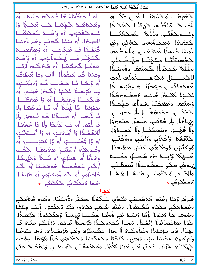Yol. Alloho chal zarche 15; 15 / 161/ 161 لحَمْتِهُـــا هَلَمْتِنْنَــا هُـــو مَكْـــفَ أَه أَ كَتِكَبُّطُا قَدا شُمكُنَّ حَنَّكُمْ!. أَه وهُكُلهُكُمْ كَيُحْتَبِلْ كُبِّ هُكْمُلْ وَا أُضْحِلا. هَاكْتُم حَجُجَتُا حَفْحَـدُا ئَــمكفُتَبْوِمِ. أَو وُاصَّــمْ مُعَكْفُــا. وئــــە\فُسُر. ەلْمُلْلا مەدىخىُـــــا لَّادَّتُوهَا. أَو بِنُسُل كُلُّوتَــرٍ وِهُــل قُومْنَــل كْحَتَمْرُهْ أَ، هُ هَدُّەَ تُوهب حَلَّهُ نُفَى وَهْدِ كَتْعُـٰٰهُا كُـا مُنْذَرِكَـٰبْ. أَهْ وْمَمَّعْمَنْنَـٰهُ قُومْا دُّتْعُدًا مُد*ْنَ*ھُب، وأُحْدُوه لْكُتُبُرْتْبَارْ شَبْ يُبْشُبْهِ يُرْدِينَ أَنْ وُاصَّلَا لمَعْمِدَكُنْـا ممْهُتْـا حهْـحْــوأب هەُحُا حُهتُنهْا. أُو هُوَجُدُو لَلِّبُ مَلْمُلا هَدِدُهُ أَلْمَ كَهِنَتِهَا هُوَّهِ مُكَلَّا وضْلالا شَب كَيْتُمَدُّا. لَّاتُبْ وِدًّا شُيغَرْثُب لَا كُتبِ إِنَّ هَ كَثِمِ صَلَّاهِ أَو الْهُوتِ أَه وًعمَا ثَا مُعمَّنَت ثُـه وُهِبُّنَّــٰهَ هُههُماهُنب دِرُودُنُـــة وهُبُــهـــدُّا وًب هَزَيمِكُمْ يُحْسَبُكُمْ أَيْحُدُهُ أَهْزَيْتُو. أَه مُكْتِرًا ݣَكْتُوا هُنْ مَعْ وَحِيحًا وَحُدًّا فَرَكَّبَــالِمْ وَهِتَّنفَــا أَه وَا هُنْفَخَّنْــا. وُهسَّطَ هوْهَشَل هُـه اُ دَهرَٰتَـهُا محَمَّ:ثَنَا ۖ كَا هُٰذُمُ! أُه حَـا خُهمُفْخًا وِلُا لحثِّل حدُّه هُغْـا ولًا حُدُّنــ . دُا لَمشَـد. أَه هَـسـدْنَا شُـه نُـه‰ا ولُا يْ اذْكَالُ وِلَا هُدَفْعٍ. وأَحدْلُ حَتَّوهُ وَأَ دُا لَمُحِرِ. أَو حُب كَلَمِعًا وِلًا دُا قَنِعَزُنَا. ولًا فُجَّـــز. ۖ ودِّههجُدًـــل ولًا ۚ فَعمـــح(وْل لَاكَفَعُـدًا وَا أَحُمَّتـَىٰ أَه وَا أَستَنْتَىٰ ِكْتُعْمُأَا وُاَحُتَّى وَوُاسَّى هُوقُحُتَى. ەْوكتُتْئى ەْوكْلْشُى كْتَتْرَا ھەمتىھىلْا. وضُملَاهِ أَكْتُبْتِهِ هُوَ حَقْصًا. لِلْحُمْتِ هُــــوْلًا وَّابِـــمْ هُ٥ هُـدـــَنِ ٥دُـــمه وهَٰلَمُلُمْ أَو هَٰجَنَىٰٓ أَو حَـٰهُا وْهِنَىٰٓحُـٰا. لَىحْمْعَةُ الْمُعَصَّمَةُ لَمْعَ مِكْمًا مِنْهُمْنَى. أَبْكُم بِمُ الْمَشْمَسَمُ اللَّهُ مَفْسَلًا أَن يَكُمْ ەللۇشتەر ئەلمئۇمىسىر ھېتىلىلى ھىلىل كَاكَنُوْمِ أَو كُمْ ؤُومَنْنُوْمِ أَو هَزَيْغَا. **َهُحثگاگِ \*** اهُمُّا هَدَيْدَمُ لِمُنْدَشَنِ \* ٽهيزًا قَىزِهُا وَمِنَا وِهْنُو هُدَهُمْ هُدَكُمْهُمْ حَكْمَهُمْ شَتَكْفُلًا هَوْمَسْتَقَالُ وَهُدَاهَ هُدَهَ و ەھْھەلاھىكىم دىگەن كَھُىھْداًا. ەھْنە ھُىھُىم ئَكْلُوم دَيَّىًا مُحَدَّتةٍ!. وَّسُـا ومِنَتْـا ههُمومًا هِلًا وَصَدَمًا وُهُل وَيَسْبِهِ هُوهُ مَعْظَمَ هَجَيْسًا وَحِدَيْكُواً الْمَرْبَعِيمًا. لِكُمُا شَكِكْعِبُرُهُماْ إِنْعُمِيَا. وَحِيَّا كَحِدُّوجُكُمَا هَبُيْعِكُمَا هَٰذِيْنِينَ. وْٱلْمَحْب هْنُبْغ كَج ىهُمَزًا. هُب حَرْمَدُمَّا مَحَمَّة كَلِّمَة لَّا هِزًا. حصَّمكَرْه وهُبِ هَبَّسْمَاًهَ. هُ/ف حمّههُـا وكْبِكْاوُه حَصّْسًا مِّبًا هُ/فرْبٍ كَتَحّْدًا مكْحكْتْسًا هْكْتُكْهُمْ قُاتْلًا هُوَّتْقَا. وهُضُم لِيَهْلُمُهِ هَزَّمَٰٓا. حُكْمَةٍ هُدَٰى هُدَىٰٓا لَمُلَّهُۚا. وهُدَاكَعفَىنَـ لِـتَّسِعَٰٮـبِ. وَلَمَحْــلا هُنّ مَحْدُمُا حَرَّى ٱلْأَمَّا  $\bigcup_{1}^{s}$  183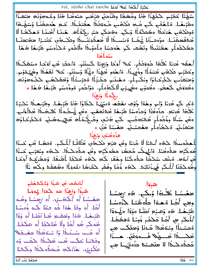Yol. Alloho chal zarche تَوْتُوا Yol. Alloho chal zarche

سَّهُتْا كَتَبَمِ كَكُمْ:ًا هُلَا وِحْقَقْا وِمَّنْحَبِّ عِبْقَمِ حَمَّقًا هُلَا وِحْدَهُوُلُهَ مِنْعَبَّا ەمْبُعْمَا. مَاحْضَى كُلِّي شَـْرُهُ صَدْرُهُ صَـوْتُمُّا حَقَّتْخُمُّا. كَلّْمَ حَقَّصُلًا وَحْتَهُـرْهَا ەُوحَكْشَى هُتِكْدًا مقَصَدْهُ أَا وَحِكَّى. مقَصَكُ حَبّ ,جُحَّامًا فَصَلًّا أَهُمنُا مُحكْشًا لَٰا هْدْفُهِمُنُـا. ووُوصـرُنَا يُـصُـا وُسُمــدًا لَا هُـمذَوْسُـُـددًا وِحُكــووُ لِمَ حُبَّتــرْا هِوَ تعشـا حعَّلَكُماُرِ حَعَيْنَيْهَا وِنَعْفَ جُرِ حُوصِيًا وَأُوَوُجًا وَلَاجُورِ وَجَدَّومِي وَجُمِعًا وَهُمَا أَهفَه هُزِيَا كَلَاهَ! هُوتِكُلُرٍ. كَلا أَوْجُلْ وَرُومًا كَسِنُسُ. ةَاهضَ هَي أَوْجَا مِمْقَكُـدًا وكْتَبْسِ تَكْلُمَى هَٰتِنَهُ أَا وِوَّى أَا، هَا هُدُو هُدْءًا وَلَى الْمَعْلَمِينَ كَلا نَقْعُدًا وهُيْقۆمِس وَهِمَعِنَّبٍ حَكَرِكَـاوُا وِمُكْـرِلُرٍ. مِعْمِنُـرِ حَكَـٰٓزُاْا مَحَ ۡـِـٰٓزُاْا وَقَعَلَـٰهِــ حَكَـوهوُنُه ەكْدَةِكُمْ كَلْعَقُو. وَكُدَوْمٍ وَهُيْءٍ بِ لَلْكُلَّةُولَمْ. وَوُلَدُّومٍ وُوفُومُو كَيُمْعُلْ رَفَعُلْ و بكمأا وزجزا هَنْدِ كُلِّ هُـْئُمُ وَّاسٍ وِـهُـهَا وَاٰوْهِ بِـهَـهْمِـهِ هَبَيْنِيَا كَـذَاوُا هَٰلًا هَٰذَكِمْ وهَٰئِمِـهَا عُكِّبَا لْكُثُوا هَٰـْتَـٰمَ. حزَّهفُتُا وُحِزُّه، الْكَلِّمُا هُـٰدَنَعمَب. هفْع لَمحْـفأل لَكْــرَهُ لِمَا هُدَأَوْنَب ەھْع مَمْلًا وِفَصْهَٰرٍ شَمْنَه صَّــب. كُــع هُنَّـه، وضَرجَّــهُ لُه شَمْنَ صَمَّمَـنٌ. هَـنـكَـرَبُداوُه ھٽعزَّىبٌ. ەَڪْتُوَمَٰرِ ھەَجِسَّىبُ. ھەَسَيَا ھُنَ \* فزْهِقُدْهُمْ وَرَجْزًا ||مَحْمَىكُمْ لِحْمَى أَحْمَا لَا حَٰٓءَا وَهْدٍ هَذِهِ حَكْمَى هَٰلَاتْنَا ٱلْمَحْبِ. هَحَشَا هُبِ عُنْزَا قُدكُرْه هذُه هُنا. وْالْمِكْمْ دَحِهُمْ حِعْدكُرْه وْهْعِ حِدُّه حَكْدًا. حَــهُه وْعُرُّبِ كَمّْرَا قْدِ ٱءْ۞. ةَعْلَى مَحْكُمْ حَذَّهَ كُمْا وِهُفَةٍ كُلُّهِ حَلَّهُم هَٰحَكُمْ أَهْدَهُا. وَحَفْرَجُحْ أَوْحُط وِهُمكحُبًا أَلَمَكُم فَي ُنَائِكَ. كمَهُم وُحًا وِفُقْعٍ كَفَرْهُا بِكُموْلًا مِهْعَفَكَ وِكْتِهِ عُلْ ٱۦلىقت شى شَرْدًا وَۦلْـكَـدَـمُنَّبِ هرذا هْرِؤُا وَرُقِزًا هو كَذا لِهوَما ھمَسُل كَلاُهُا وُكِّي. هُه رُهِسُل همُسُلٌّ أَه أَكْتَفَتِي. أَه رُهِسُلٌّ وَهُـه وهِم أُصُل هَـمـةا حلُّه هُـُـل كأهمـُـل أَحُل أَه وكُل هُدَا كُو مِنْلًا كُنْ وُوسُلًا هَّبُـمُـا. 6ه وَهـرُم أَحَلْـا هُوُوَّا هلُــهُوَّا هَبُـمُـا. هَهُا وِمْـهْــم هَــا ٱتْـتْـا أُه وُوَّا ٱلۡلَّـٰ هِـ ٱٰٰٰٰٰٓٓٓٓٓ ذَٰٰۡٓٓ ذُوۡـٰٓا هَٯۡعُمَّـٰا۔ هَٰمَكُرٍ هُم أَحُا وِلًا هَٰلِكَجُا أَه عَكْخًا. هُحسَّنِلُا وسَّقَعُدا حَـالًا وَهنَكَـــا هِــمِ أَه حُــب مَـٰـزَبِدًا وَا عَــٰقَهُدًا حَمْــقَـلاً وثَمْنَا تَكُب مُّب مْكِمًا حَضُبٍ وُهِ حُحِدُّه حَــدًا لا مِنَعَــمَـدٌ حزَّهِ هُيُــا مِبِ تَكْتَبَهِ. هَذَاكُمْ تَسْتَدْهِكُمَا وَكَمْنَا

مُحَدُّمُا حَرَّم ٱلْمَا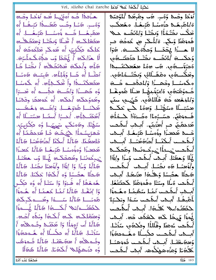| لا اُلْحُمْ الْمَحْلا أَوْتُمْا Yol. Alloho Chal Zarche |  |  |
|---------------------------------------------------------|--|--|
|---------------------------------------------------------|--|--|

مَزْدَمُ الصَّمَ أَوْوُلِهَا هُدَ أَوْجُداً وِصْرَه وَوَّس، وَيُبَلِّ وَشَبِّ هَٰهَنِيهِٗا تَرْبِقُنَا أَو همَبِمُــا خُـــه وُهمُـــا مَبْمُــا. أَه مكَعْلِكُــْ ۞ أَ تْخَــْلَا وَنَحْتْـا وْمِنَكَـٰكْـَ نَ كَالَكُمْ مَكْرَجَ، أَهْ هُوجْمٍ قُلِيُدْمَدُهُ أَهْ لًا هَزَاجُهِ أَ يُتَحْلَ وً حَجَّة كُداً ءَه. هَأُه وأَحكَّة مْحْتَخَلْاْهِ أَ تَشْتَا جَا أَحِتْطِ أُو حُطِ وُقُلِلُهِ. وُمِيْدِهُ وَوَمِطْ محَمحُدٌ جاً واُ تَعْكُمِلُوهِ. أو حُدمُ ا وُه حُھے ٗا وَاحَــــوٰ مؤَــــــــــو أَه مْــــــْ ا وهُدوَّدِكُلُه أَبْدَكُلُه. أَو يُدْهِدُ: وَثَمْنُـٰل مَكْسًا هُوَتِمْسًا. وْأَكْسُرُ وْهُبْعَسْتْ أَهَٰذَكُمْ أَلَّهُ أَحْسَرُا أَحْمَدُ الْعَمَّنَا أَنَّ سَكُتْلَ. وهَوسُكُم شَيْهَا وُو مَكْرَجِيٍّ. دْهِجْسِنْداْ لِحَكْمَة دَٰا هَٰرَىٰهُمَا أَهْ دْاهِجْمِيْلْ. هَاأَيَا أَحْكْنُا أَجْرُهُجُدُا هَاأَيَا هُدهدُ ۖ وُووُّومُما هُبُعُما هَالَا لَاهِمْ الْمَلَّامَ يْ حَمَدْ اللَّهِ وَهُدَهْكُ مِنْ اللَّهُ وَمَا حَمْدًا. هَٰذَا أَوَّ إِذْ الْهُمَّا وَأَوْهَدًا بِحَيْدًا. هَٰذَا لَهُ رَهُ حِلًا هِجُسُلَ وُهِ أَجْرَهُ الْحَكْبُلِ وَعَلَيْكُمْ هُدهَٰذَا أَه فَـٰٓزَوٗا وَا مَتْنَا أَه وَّه دَكَـٰہِ ۖ وَّا إِنْشَا. هَاأَيَا آمِنًا كَمِينًا أَو هُءُوْا هُمْسًا هَاأَيَا سَمْسُوا وهُسْمِكْرِكَة لْحَكْثَثُ دَامًا لَكُ وَأَلَمْ لَا يَكُلُّ لَهُ دَوْا وْهِنَعْلَمْكُمْ لَكُمْ أَكْتُمَا وِيُكُمْ أَحْدَه. هَٰلَٰٓاً أَبِّ زَوْدَٰٓاْ وَا هَٰتِنَكُمْ وِشُمِكْتُو أَ مَعَاتُهَا. 1/16 أَو حَكْسُلًا أَو هُـودوُوْا وضُملِكُوهِ أَ مِدوَّعَقِيْلِ. وَكَالُهُ شُمْوَيَّف وُه حَبْحِكِلِلا أَحْدَمُنَا. 116 هَـ20 هَ

أَوْكُلُ وِصْحُ وَدُّبٍ. هُب وِهُرِهَٰذِهُ ٱلْمَوَّضَحُ ةالمَرِهَــد حزَّەممُــا هَرَمهُــا. معَعنكَـب مْتَكُــٰ ىحُتَّـٰهُۥأُا وَٰىحُتْـا وْاٰلِمَّحُــٰء ـٰــلا فُەوْھُلُا وُلِّکٌ. ةُ/لُمْكٌر هِي گُدَدُهُ صَرِ للصدُّل لِحَدْكِ وَحِذْتَه كَمِصْبَهِ. وَوُل وُحكْسِـة ٱلمُكَسِّـه بِحَثْبا جِرَجَتْنِــةُى هَدْؤُكْشْ هُورْ. هُبْ هِهْدُ هِهُمْلِكْتُسْبِهِ ا وِهْكُـــوْهِ وَهْفَــْلَاهُ ۖ وَىحُتَّـــهُاهُو. مكْمسُلِ وصْهِلْ وْالْمَدْمَـــــهِ حُـــة خُــووُكَتوْهِ وَالرَّؤْمِلُ لَــاْلِمْ هُـوخْــا وْٱلْمُعْمَدُ هُدًا صَّلْمَالَّةُ مِنْ حَيَى مِنَ هسَّتِسْلَا مِمَّجْتَا. وَهِمْا لِهِ تَكْلِهِ فَـهوَهُهَ. حمَــ;ُهاا هكَــزهُٱا ۖ ـــدُمُّاهَ هَٰزِيجِمِيَّةٍ جِنِ أُهِنَّتِي. أَبِيهِ أَيْجُمِجْت تْسَبِّطْ هَٰذِهِــَٰٓءُ وَوْْءِمَـٰٓءَ هُرَّمَـٰطَ. أُبِــٰهَـٰت أَحدُّمت أَمكْنُما أَدَٰرْهُ هُمُما. أَنَّ هُم ممكمقع الهنامكبر الملرح سعلهأ لَمُلَا وَحِعَدُا. أَبِيهَا أَيْذَبِعِي وَسَرًا وِإِوَّٱلَ وٱؤْهنا هُ٥ بِحَيْا. أَبِيهَا ٱلْمُحْبَبِ رَهُ حِلًّا هِجُسُلَ وَ حِكُوهُ الْمَؤْمِعُ الْمَحْمَدِينَ الْمَحْمَدِينَ مِنْ الْمَحْمَدِينَ أَبِدَّمِي هَٰيُلا وِيِّتْلِ وَقُودُهُمْ كَحِتَنِيُّهُلُّ أَبِـــدَبِ أَيـدَّمَـتـب أَسُــل مَنْهُبِسُـل مَــقُــدَوُّل لْمُبْدُل أَبِيهِ أَيْدُبِي مَيْدًا وَيَكْبَرُ: للكَفَنُواسِلا لَلْكُواْ. أَسِلات أَسلَاصت لْهَوْاً يَحِجُا حْمَدَ حَسْكَمَتْ دَهِ. أَبْتِ أَحذَهب عُومِمُا وظَّالمُ! وحُكْرُهُ مِمَدُّتْها. أسلمه أيكبصب فكسأل مشتودةؤا وَهِدَهَ حَقْشَا. أَيْنَظُمْتُ أَيْخُبِصْتُ دُوَدِهِمْنَا ا لْحَدُّهُمَّا وَهِزُّهِ هِهْكُوهِ. أَبِيهَا أَسْلَمْت

مُحْمُلُ جَرَّم ٱلْمَا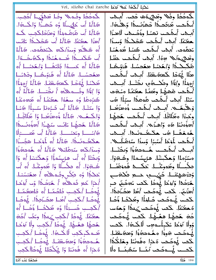Yol. Alloho chal zarche 15; XX 161/12

لْحُدُدُا وضُمِيرٍ وضُلَّ شَهْرَهُ ﴾ أَحُصِّبِ. لْحُدْدُا وِثْلا وِتْعَلِّيهُ۞ دْعِينَ أَبْتِكَمَـٰ أَلِكُتب هُزْتُتِكُمُ اتَّتِعْزُنُـبِكُمُ وَلِكُـرَهُ لِ هَاأَلَمْ أَبِ حَايَبِ الْمُؤْمِنُ هُجِسْرًا وَالْحَسِرَةَ ا. أبك أُمكُمت تَعمُل وَذُكُمك لْلعِزَّا هَٰلَٰٓاً أَبِ هَٰٓزَهُـوۡوَٰٓاً وۡعَزَٰٓجَاكَجِبِ كُـو أَهِدًا هِجَيْتُا. 115 أُبِ هَجْكُمُ عَلَيْكَ هِهَمُمُّا. أَبِيهِ أَيْذَٰهِب هُشْكِدًا وَسِدًا أَه شَلاَٰم وَسْأَاكُه كَمْحَقُوب. هَٰذَأَمَّا مَحمَّدت. أَبِحْت أَنجَّنف هَننُا شَدَخْنَا أَبِ هَكْسِيْهِ الْهُسْمِيْيْهِ الْوِجْهَيْشَمَا. وقعظيماً مع الله أبين أيج يصب حسًّا هَالَمَا أَو حَسِّوًا جَلِّحُكُ أَوْلَهُكُمْ أَو هَكَيْكُمُ وَاهْجَنَا هِمُحِسًا. فَرَوْحَقَا همَّحسُــا. 1/15 أَه فَزَوۡـهُــا وِثَـهُــا هْلَا هُقْدًا خَمْعَةَ عَمْلَا. أَبْحَمْ أَحَكْمَتْ مَّكْسًا هُوَّسًا خَعْدَهُ حَمْسًا. 1/16 رُوداًا رَّوذِمُّا واقْرًا وحُكْشُوبٍ بِحُتْسا. أَبِّكْت وَا إِذًا وضُـهكُمْ أَ بِخُسَـا. 1/16هَ أَه أبدئت همها وهشا حكسًا ودوْت هَٰدُوهُا وُو مِيعُوْا هِعَيْنُا أَو هُدوونُنَا مَتْلَا. أَبْدَبَ أَيْدُبِيت هُوهِدًا مِبْدًا هُب وَا مَتْنَا. 116ھَ أَبِ كَـرُونَا مَيْرِلُمْ الْمَيْلَ وْ حَلَيْهُـــــــــهُ أَرْجَمَـــــــــــــــــــ وُّوهدُهُـــا وِكْبِتْزَا وَهَٰلَاتْنَا. أَبِيهَا أَيْجَمَّد هَٰدَهُا وْالْكْلّْعُلْمْ. 715ْمْ وْ20ْمْتُولْ وْ1ْ هَٰلَاتْقْلْ. هَالَمْ هَجِهَا بَاتَبٍ سَيْءًا أَهْوُهِ سُمْاً أَهْؤُوسُا هُو وَاهِ مَلا. أَبْلَمْتِ أَيْلَمْتِ هُوهْفُ) هُب هكْتَشْبُوبُيها. أَبِيهَب هكْتُدسُكُل هَٰلَهُمْ أَو لَمِحْكَمْ هِجُسْرًا أَبِدَّمِي أَوْجُلٍ أَمِيْدًا وَمِيزًا مِنْزِهَبِيلِ . وْسِلْمُكُلِّهِ سُلِطَائِكَ الْمَالَمَا أَوْ هُوَجِئُواْ أَبِـــدَ أَــدَّـــب هُـــودةُواْ وَبِحُثْــا. وَىحَتْا أَه أَبِ فَوَّضِنُولًا وَحَكْتَنَا أَه وَا ەمئۇەلما ۇھگېننىل ھۇچشەلما وھُۋەر هُــةوْا. أَه حكْــلًا وَا هُدوعْـًا. أَه أَب حكْبِــلًا وهَدوعْنْـــا. تَكْـــك فُدوْهُنُــا تَعْلَيْهَا وُهِ دَكْمٍ وِشُمْلَاتُهِ أَ هِمَّتْسُبْدَا. وَدْرْهِهِنْدَا. دُيْصِهِ حصر مُحْدْرَة ب أُحْزَا حَمِ ذَهِ حَلَّمَ أَ هَٰٓتِكُمَّا وَ ۖ أَوْحُـلَ ـمَّتِحُمْاً وَٱوْخُا هُوجًا لَكْتَبَ مُوَجَّبَةٍ فَ هُوصًا أَكْجِبِ دُاصَّىًا أَو تَاهِعُنَـا. أُهزَّمَ، حُكْم لِمُحَمِّد أَهُل هَجَزَّدَهُّا. لْمُحْطِ أَلْحَجِـبِ أَهْطِ مِجَدَّجِدًا. لِمُحْطِ لكعب لمُحمَّد حُلوْلُمْ وهَكْحُل وَّحُل أَكْجِب حُسْنَاً وُه هَٰلِكُمَا وَٰكُمَا أَهْ سَاهَمَ الْمَلِرُ سَمَنَاهُمْ سَكَلَّ الْمُلْهَمَةَ دُهَ هَدهُا همَّمُها. كَدِّب هُءكَيف حَكْنُا. فَمَحْا أَبْكَيْبِ رَبِيكُمْ أَحَدَّةَ أَحَدَّةَ هَدَهُا هِمَّجُا. يُّودُا ٱكْجِبِ وِلَا ٱوْحُـا وَوِلًا أَوْحُل مُكْبِلَموهِ بِ لَلكُنَّهُ!. كَنْصَد هُــمكْـرِكْجِبِ لَاحْـــهُا. هُـمَـٰـا ٱكْجِـبِ لْمُحكَّمِد ۞وذُا وهُءَدَاهُ ذَا وَهِدَهَ مَعْنَدًا. هُــودهُوُّا وَمِدهَ حَقْلًا. إِيُوصًـا أَيْكَحِب لْكْتِبِ لِمُحَمَّدِ مَجْ الْمَوْسُلُمُ وَهَلْتُكُمُ الْمَسْتَدَّمَ لْكَعَـــب لِمُـــوَجَّـمَت آمِنُــا مَمْغَمِنُــا ولَٰا َهَدُا أَه فُوسُا وَا كَكْحَا لِمُحَالِفَ الْمَحَالَ مَحْدُمُا حَرَّى ٱلْأَمَّا

 $\frac{1}{2}$  فَالِمَا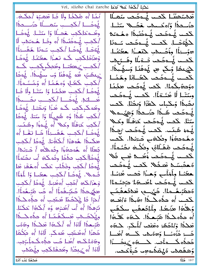Yol. Alloho Chal Zarche 15; 15 / 161/2 أَسُلَ أَه هَكَخُلَ وِلَّا خُلَّ هَعَجَوْ أَحَكَـٰهَ. هُدْسُمْشَا كَصَبْ لْمُحَمَّدِ شَعْبُلَا لْمَحْصَلِ أَكْجَسَبَ مَعْصَلًا جَنْصَحْلًا دَّىــدَدًا وَ/ەڭـــىدى ھَكَـــلا مَتْـَــا. وهُــوْكِلِكْجِبِ هْجَــُلَا وَلَ مِّتْتَــلِ لِهُجُبَـلِ ثلامهُ الْمِنْصُصِ لِمُسْتَمِمًّا مِمُسَمَّلًا ٱلْكَجِبِ فُحَضَّدُا أُه وِضُا هُـٰءَكِدِ لَٰا لحَيْقِصْلِ لْكَفِيبِ لْمُسْقِضِينِ مُسْقِلًا لْمَصْدَرِ. لْمُحْسَلِ الْكَحِبِ حَـٰهِ لَا هَفَسْـزَلَٰا لِلْمَعَسَدِينَ ۞و۫ٮۃڵؙٳۄۏٞػٮٮۿٮؚۦٮڵڷڡڐؙٳۦۿػؽؙٮ۠ٳ؞ وْهِزُدْلِكْجِب جُدْمَ تَمْزُلْ مَعْنُثُلِ لِمُعَامَلِ لآدے فُےحَمد تَــتَملُّا وِضَــرَّـہٰا۔ أكجب ومعقتا ومحكم كجب كم لِحَيْمَتُمَا وُسَكِّعَ هِمْ يُحَقِّئَا وَسَهَّبِمَالَ يْ مِعْكَى هُدَ مِّدْهُمْ وَبِ سَهْيَدًا. يُدَهِّرِ لكعسه بأسوكتها لحقك اللا وحَملُه ٱلْكَصِبِ لَكَعَـٰلِ وُمغَننُـٰا أَه وُننُننُـٰمَلًا. ەؤدۀبگەلما. ئىم ئەمَىمى ھگىئا لْمَحْـا أَلْكَجِبِ مِكْسُا وَا عَتْـا وِلَا حُـا ومَتْبًا لَّا هُدًّةَ،اْل كَحَــْبِ لِمُّـوَضَّحْبَ هُـــامُمْ. بُودُـــا أكْجِـــب بِدَّـــبِهِْ! ىصَّېمُّا وُحْكَىكَ حَمْدُا وَيصَّنْا. حْصَب وهُمكْبِكْبِ كُـه هُـزُا وُبتَّنا. هُمَدُا لْمَحَمَدِ هَـٰهُا حَبَّـٰدَهُا وَهِيَّـِـمَلا أَحْجِبِ هَٰذًا وَۚ هُمِينًا وَا مَتا. هُوصًا مَثْلًا. لَكْصَد لْمُحَمَّصَد كَوْهَـلًا وِكَـلا أَكْدِبِ كَرْقْلًا وِكَلاً أَو يُحوُّلُ وِهُكَبٍ. لْمَاءَ هُبِئَــا. ݣْـْـَـــا لْمُءَكَّــْتَ رْحِــدًا لِمُوصًا أَكْصِب هَقَسَنِهُ! صَلَّ تَغْسَلُ أَو معْــددَهُوَٰا وِئَــُـرْهَــبِ تَــٰتِئَــٰهِا. لَكَتَــَـــ محكَّمًا هُوَدْرًا أَحْدَّدُنَا. يُودُا أَحْجَب لْمَحَٰىد هْݣَلْلْهُ, وِتْكُـْهْ بِكُـْمَاٰلْ. جَعنْلا أُه هُودهُوُ! وِثَوِيلاَهِ أَ شَـٰزَيْدَا. لْكْتَــبْ فُي حَكْتَتْ وُهُـــدْ هْبَ فُلْا لْمَحْالَكْجِب حِمْحُل وثَمِكْنَ أَبِ بِحُثَمَلًا ەْھمْسَىْدْ شْبْكْلا. ئْكْمَسْ ئْمْمَمْس لْمَحُا أَلَكْبِ وَثَمَّلَبِ تَكْب أَهْهَٰفَ; مَا لعكْسًا وِلُوْلُب وُهِـزًا تَحْسَبُ هُوْسًا. نُـمِـلا. هُوَكُـلُّ أَخْتِبَ حَقَيْبًا وَالْمُؤَلَّلَ وْهْزَاءْكُلُه ۚ اْكَجِبِ أُهمُّزْما. ۖ هُوكُمْ ٱلْكَجِبِ لكعب بُعكَنف لمعُنْدِهَا وَجَعَنُوا مِنْكَىكُمَا شَبَبَعْدَٰذَا أَو شَبْ هَزَعْدَٰذَا. ةحكَبُمُــما، حَيُّــمِ مَحكَمفَبِتَــم كحب أه حذَّه حداً الله جدًّا وَاقْدِه أَحْرَا مُا يُكْصَبًا مُسَجِّبٍ أَو حَذِّوَكُمَّا تَرْهَدًا أَه أَبِ أَهْدُنَ وَّه أَكْدًا تَكْتُلْ. وَحِلَّهُ هَزَيْهَا. وِلْمُكَمِّفِ مِكْفَب ويُكصَّحْبَ مْسَكْفَسًا أَو حِذْوِكَ دُا أَه حِفْهِكُمُ هَُهُمُمُ لَكُنَّهُمْ كَلَّكُمُ ا هَبْعِمًا لَاهُ! أَه أَكْثُوا مْكِمًا وِهَٰهَ مْكِمًا وْالْمُعَّة هْتْتِ ٱلْمُكْرِ. كَـهُه حَمَّا أُهمَّسَجِبٍ مَحمكِنٍ لَاهَ! أَه مَكْمًا كُسِنْ حُزُّه مُسْلِ وَهِ هَيْهَا لَكْسِيهِ أَهْسِلِ وهُمْلَكُــهِ أَهْلَ شَبِّ حَيْمَكُــمِلَّكَمِن. حَجِمْهِ كَـــواْحِبِ. ۖ حَـــِــةَهِ يَ بِحُــــزُا لَّاهُا أَه <sub>ك</sub>ْبِطُرًا وهُدَهَا كَجْبِ وهُنَكْمَبِ وُهفَعك ەُلِثْلاُمەرەب خُرْتُكىت. مَحْدُمُا حَنْ اللهُ ا  $\frac{1}{2}$  فَالْمَا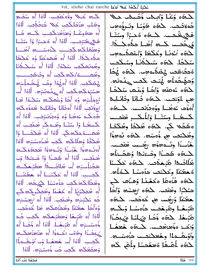Yol. Alloho chal zarche 15; 15 / 16 / 16 كْتُمْ كُمْلًا وَوُّەكْتُصِيْنَ لَّاهُ! أَوْ مَنْصُور لِمَدَهُ وَعُنُا وَٱلِيهَا وَضُبِهَا مَثَلًا وهَام هزُحْالِكْمِي كَلا حُرْثُؤُمِي. لَاهُ! ھُەتكىصە. كەڭ ھۇسُا وئىرۋەھب اْه هەَوسُا ۋەداھُزىڭچىپ تكــە كَــا فشنوا المكفرة وضك منعشرهم قْمَيْ هَنْبُهِبْ. لَأَهُ! أَو وَحَــرًا وَا مَتْــا يُحدَّب كَـــرَه أَهُــا حَذْهِكَــدًا. وْهِنَعْلَكُمْ كُمِّسِبْ كُرُهْشَدْ أَهُمْ ا لمؤه أمُوسُل ومُنْكَعْلَ وَاسْتَكْسَوِي حِبُّوحِكُمُّا. لَاوُا أَو هُتِعُوجُعًا وُو جُحِجَا سَكْحُلْ. كَمَّه سَكْكُلُّا وسَكْصَ وهُدتُهكُمب مَنْكُما. لَاهُا أَو مَتَبِكَجُلَا ەُحكَرْھُصَد لِكْتَكَسِمِعْتْ لَكْتَكُمْ فَهُمَا وهُد ةالكلهكعب أه ودُوْهُمِصْب وَحَكَمِنَدُ سَمَدٌ حَسَنٌ مِهْدَمَهِمْ . لِكَعْكَمِبِ. لَاهُا أُهوُّهُا وِصَّا هُمشُم}َتِرْ∞ لِهُم مُعْشَرِ وَاحُل وَبِنْعِي مَكْحُلًا هنگۇنگەنگېپ آە ئېگەنتوھ. لَاەْل آب هِم لمُؤتِنصٍ. كَــهُ٥ شَـائًا وِثَائَـلْبِـهِ زُوذِلُتِهِ وُهِ أَحُل وُسْعَكَلِهِ سَكْحَا هَـا رُوتُكِبِ لَّاهُ! أُهدَّانُا وِثَانُاها هُدوَّه كُلُّه أُهوْد عُه هُـــا ووُهجُ تَصــب ــهـــوَه ه ۞هكُـه عُموُّل وُه وُهدُنُّعُ بِب. لَٰأَهُۥ أُه كسعُا ومَتْسًا وْالْمَكْسِ قْتَصْبْ كْتْتْخْتَلْ وَلَا عَتْقَالَ وَهُدْهَكُنْ هُبْتُهُمْتَ أَنْ هَفَكُلا لَكُمْ. لَاهُه هَٰلَكُمْ وَهُذَّهْا هُدهِ ــــهُ دِكْرُهِ كُبِ. لَاهُ! أَو هَٰكُـــُـــا وَا وهُكْتُصَا هِي وُهِنْدُهِ. كَلِمُهُمْ نُوهِؤُا مُكْتُرا وْهْلَانْكُمْ كُفِّ هُنُوْمِنُدْهِ ۚ لَٰٓاٰهُ ا هَّنْدُ أوثَـــدهوْه وهُـــب هْتُصــب. أُهنُــهِ وَذَا لَهُ بَــزًا وَنُــهِ وَوْا هَٰـَـدِهَ وَحْلَــهِ لمستأه كعسُر وصَّتِهُم وَهضَرَاتُهِ هُمبُصٍ. لَاهُ! أَو هُدْ: وَا دْتِهُ! وُبِ هَلَلْحُما هَيْمِدْمِ.. حَبَّهُ تَحْسَنُا هَدَٰٓۥَٱ؞ؿ؞؋ ٱب هَٰللاَجُسِمَّا هِمَّہُمَكِّـ ۞ هُهِعَيْنًا وِكَحْتَصَا حَزَّەمِنَا حَـهُلَّةَ. كْجِـــب. لَاهُ! أَو تَحْكُــَـا أَو حَعَمُنُــا لِمَاه فُنُوهُا وَكُمُّسُا وُفِنُهَا لِمَا اللَّهُ ومُحْلَلِكُلهِكْدِبِ حَلَّەمُمَا لِحَكَمَتُهِ. لَاهُ! حَكْرًا وِهْتُصٍ. كَمَّهُ رَهِشُهِ وَإِكْر اْهِ مَٰدِدْءُبَا اْهِ كَعَْسًا وِمَٰدِكُرِبْدُهِكُمْ ثُم عَكْبُتِرْهِ وهُسُكِبٍ. لَاهُ أَوْ رُهِسُتِرْهِ حَمَّنُنَا وَرِضِّتَ هِمْ يُدْدَّدُتَ. كَلَّةُهُ وُّه∫ُهُا حَعَّنُنَا وَهُدَٰوَهِكُلاهِ ۚ هَا خُدَجُدٍ. هَبُسُا وهُبِمْصب حَزْهِنُا وُحْدِهِ لَّاهُ! أَه هَٰزُمُهُ! وَهِجَرُهُكُمْ لَاجِبٍ خُتْ هُبُـمُلْ. لِكَامَةَ وَهُــا مَيْلِـُـا مِيْكِــُرَّا ؤُومَنَتِ هُو الْوَالُوا أَوْ أَوْ أَوْ أَوْ وَالْمَالِمُ وَالْمَسْتَرْبَعَ أَوْ الْمَرْ وَالَحِيزِ وَوَقِدْ قَصْدِينَ الْمَسْدَةُ وَالْمَعْقَدَارَ كبطُرًا وهَمَّد الْمُحوَّلُ أَو هَزَهْزَهْكُمُ وَأَوْجِعْهِمالِ وِجَعِيدِ حَسْنِ دِرْوِيتِ وِي لْكَجِب. لَأَوَّا أَبْ هَعَهُـا وَّبَ أَوْجَعُـولُهُ لحدَّه أُهُبِقُا هُمِعَصِبًا وأُهْو كُلُهِ وْهِكُعْكُلُو كُلِّمِي هُـ وُّەمِّىْتِرُو. لَادُا

مَحْدُمُا حَرَّى ٱلْأَمَّا